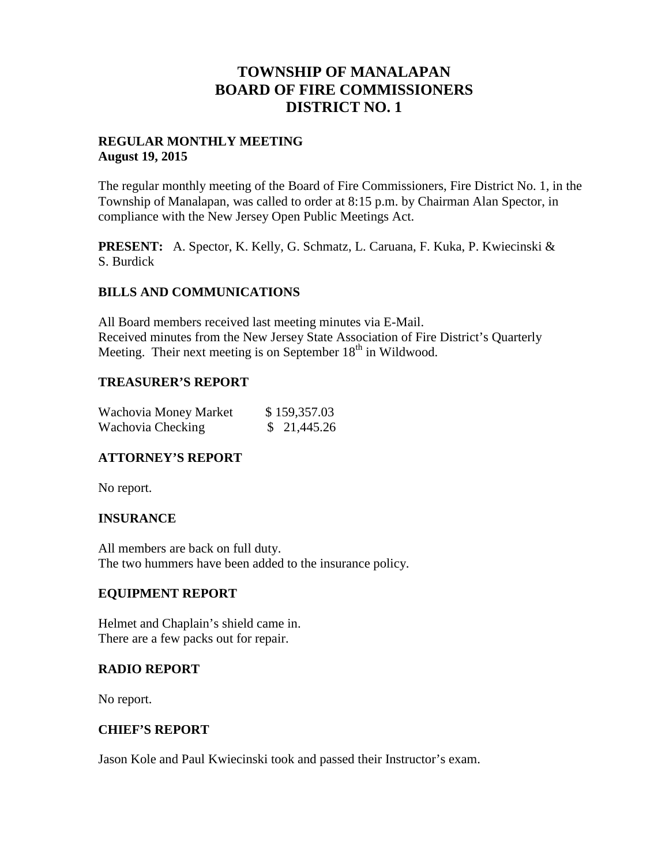# **TOWNSHIP OF MANALAPAN BOARD OF FIRE COMMISSIONERS DISTRICT NO. 1**

#### **REGULAR MONTHLY MEETING August 19, 2015**

The regular monthly meeting of the Board of Fire Commissioners, Fire District No. 1, in the Township of Manalapan, was called to order at 8:15 p.m. by Chairman Alan Spector, in compliance with the New Jersey Open Public Meetings Act.

**PRESENT:** A. Spector, K. Kelly, G. Schmatz, L. Caruana, F. Kuka, P. Kwiecinski & S. Burdick

### **BILLS AND COMMUNICATIONS**

All Board members received last meeting minutes via E-Mail. Received minutes from the New Jersey State Association of Fire District's Quarterly Meeting. Their next meeting is on September  $18<sup>th</sup>$  in Wildwood.

### **TREASURER'S REPORT**

| Wachovia Money Market | \$159,357.03 |
|-----------------------|--------------|
| Wachovia Checking     | \$21,445.26  |

## **ATTORNEY'S REPORT**

No report.

## **INSURANCE**

All members are back on full duty. The two hummers have been added to the insurance policy.

#### **EQUIPMENT REPORT**

Helmet and Chaplain's shield came in. There are a few packs out for repair.

#### **RADIO REPORT**

No report.

## **CHIEF'S REPORT**

Jason Kole and Paul Kwiecinski took and passed their Instructor's exam.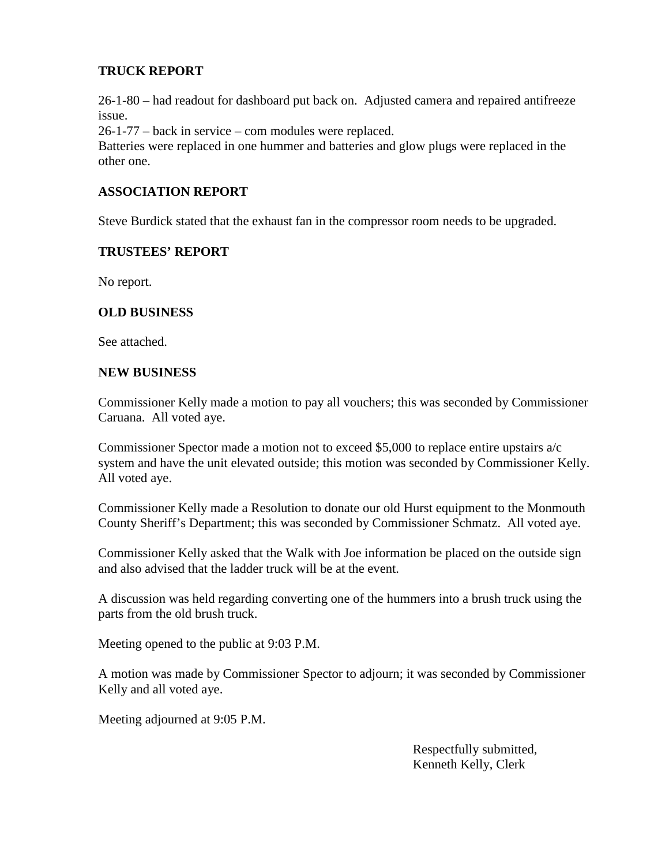## **TRUCK REPORT**

26-1-80 – had readout for dashboard put back on. Adjusted camera and repaired antifreeze issue.

26-1-77 – back in service – com modules were replaced.

Batteries were replaced in one hummer and batteries and glow plugs were replaced in the other one.

## **ASSOCIATION REPORT**

Steve Burdick stated that the exhaust fan in the compressor room needs to be upgraded.

#### **TRUSTEES' REPORT**

No report.

### **OLD BUSINESS**

See attached.

#### **NEW BUSINESS**

Commissioner Kelly made a motion to pay all vouchers; this was seconded by Commissioner Caruana. All voted aye.

Commissioner Spector made a motion not to exceed \$5,000 to replace entire upstairs a/c system and have the unit elevated outside; this motion was seconded by Commissioner Kelly. All voted aye.

Commissioner Kelly made a Resolution to donate our old Hurst equipment to the Monmouth County Sheriff's Department; this was seconded by Commissioner Schmatz. All voted aye.

Commissioner Kelly asked that the Walk with Joe information be placed on the outside sign and also advised that the ladder truck will be at the event.

A discussion was held regarding converting one of the hummers into a brush truck using the parts from the old brush truck.

Meeting opened to the public at 9:03 P.M.

A motion was made by Commissioner Spector to adjourn; it was seconded by Commissioner Kelly and all voted aye.

Meeting adjourned at 9:05 P.M.

Respectfully submitted, Kenneth Kelly, Clerk